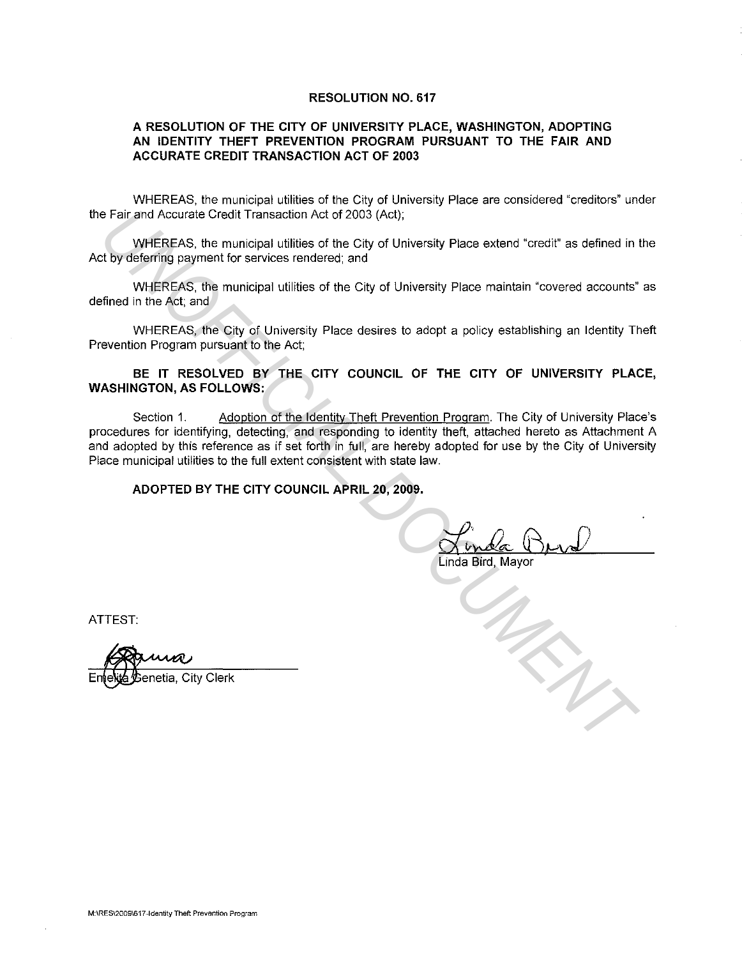### **RESOLUTION NO. 617**

### **A RESOLUTION OF THE CITY OF UNIVERSITY PLACE, WASHINGTON, ADOPTING AN IDENTITY THEFT PREVENTION PROGRAM PURSUANT TO THE FAIR AND ACCURATE CREDIT TRANSACTION ACT OF 2003**

WHEREAS, the municipal utilities of the City of University Place are considered "creditors" under the Fair and Accurate Credit Transaction Act of 2003 (Act);

WHEREAS, the municipal utilities of the City of University Place extend "credit" as defined in the Act by deferring payment for services rendered; and

WHEREAS, the municipal utilities of the City of University Place maintain "covered accounts" as defined in the Act; and

WHEREAS, the City of University Place desires to adopt a policy establishing an Identity Theft Prevention Program pursuant to the Act;

### **BE IT RESOLVED BY THE CITY COUNCIL OF THE CITY OF UNIVERSITY PLACE, WASHINGTON, AS FOLLOWS:**

Section 1. Adoption of the Identity Theft Prevention Program. The City of University Place's procedures for identifying, detecting, and responding to identity theft, attached hereto as Attachment A and adopted by this reference as if set forth in full, are hereby adopted for use by the City of University Place municipal utilities to the full extent consistent with state law. **Example 2018** Accurate Credit Transaction Act of 2003 (Act);<br>
WHEREAS. the municipal utilities of the City of University Place extend "credit" as defined in the University of the City of University Place extend "credit" a

**ADOPTED BY THE CITY COUNCIL APRIL 20, 2009.** 

Linda Bird, Mayor

ATTEST:

enetia, City Clerk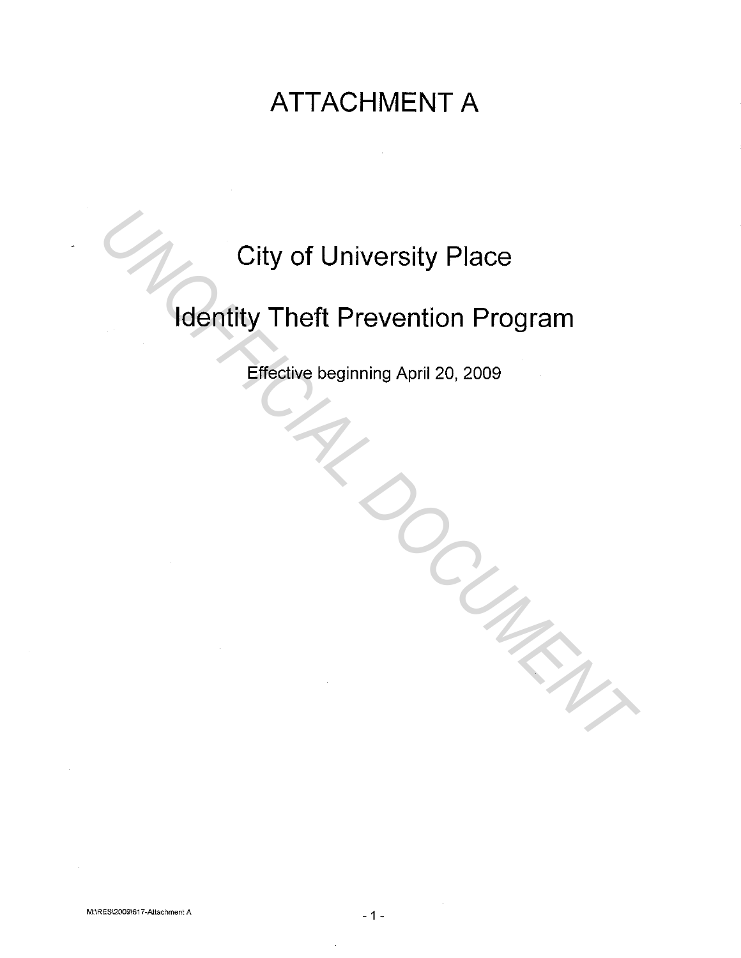## **ATTACHMENT A**

# **City of University Place**

# **Identity Theft Prevention Program**  City of University Place<br> **Identity Theft Prevention Program**<br>
Effective beginning April 20, 2009

Effective beginning April 20, 2009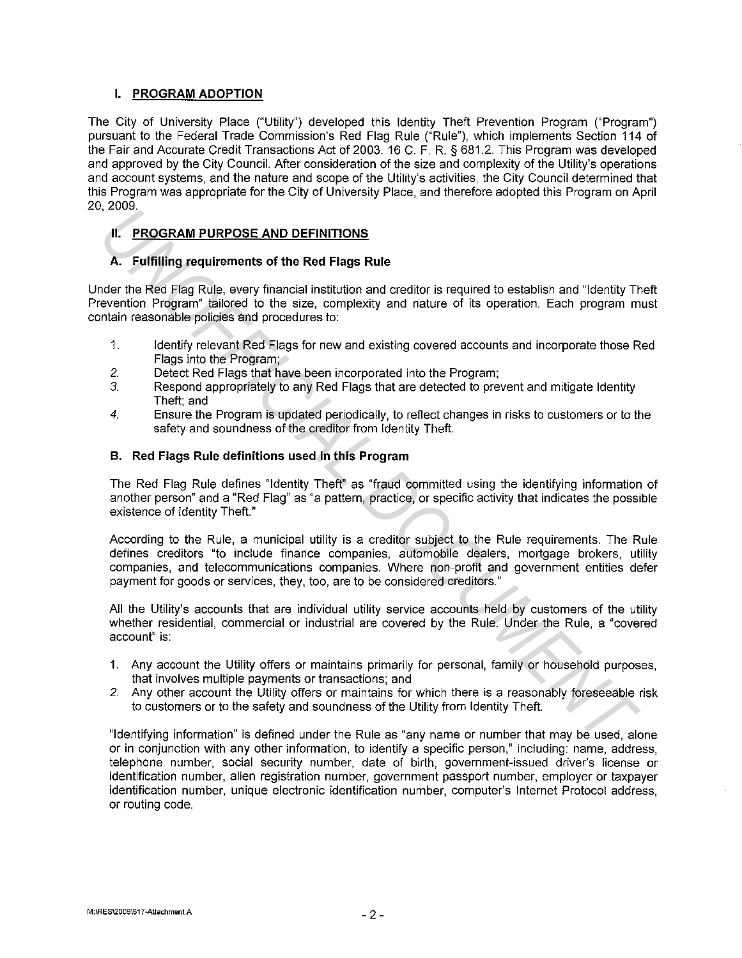### **I. PROGRAM ADOPTION**

The City of University Place ("Utility") developed this Identity Theft Prevention Program ("Program") pursuant to the Federal Trade Commission's Red Flag Rule ("Rule"), which implements Section 114 of the Fair and Accurate Credit Transactions Act of 2003. 16 C. F. R. § 681.2. This Program was developed and approved by the City Council. After consideration of the size and complexity of the Utility's operations and account systems, and the nature and scope of the Utility's activities, the City Council determined that this Program was appropriate for the City of University Place, and therefore adopted this Program on April 20, 2009.

### **II. PROGRAM PURPOSE AND DEFINITIONS**

### **A. Fulfilling requirements of the Red Flags Rule**

Under the Red Flag Rule, every financial institution and creditor is required to establish and "Identity Theft Prevention Program" tailored to the size, complexity and nature of its operation. Each program must contain reasonable policies and procedures to:

- 1. Identify relevant Red Flags for new and existing covered accounts and incorporate those Red Flags into the Program;
- 2. Detect Red Flags that have been incorporated into the Program;
- *3.* Respond appropriately to any Red Flags that are detected to prevent and mitigate Identity Theft; and
- *4.* Ensure the Program is updated periodically, to reflect changes in risks to customers or to the safety and soundness of the creditor from Identity Theft.

### **B. Red Flags Rule definitions used in this Program**

The Red Flag Rule defines "Identity Theft" as "fraud committed using the identifying information of another person" and a "Red Flag" as "a pattern, practice, or specific activity that indicates the possible existence of Identity Theft."

According to the Rule, a municipal utility is a creditor subject to the Rule requirements. The Rule defines creditors "to include finance companies, automobile dealers, mortgage brokers, utility companies, and telecommunications companies. Where non-profit and government entities defer payment for goods or services, they, too, are to be considered creditors." **FICAL PROGRAM PURPOSE AND DEFINITIONS**<br> **A.** PROGRAM PURPOSE AND DEFINITIONS<br> **A.** Putfilling requirements of the Red Flags Rute<br>
draft the Red Flag Rule, every financial institution and creditor is required to establish

All the Utility's accounts that are individual utility service accounts held by customers of the utility whether residential, commercial or industrial are covered by the Rule. Under the Rule, a "covered account" is:

- 1. Any account the Utility offers or maintains primarily for personal, family or household purposes, that involves multiple payments or transactions; and
- 2. Any other account the Utility offers or maintains for which there is a reasonably foreseeable risk to customers or to the safety and soundness of the Utility from Identity Theft.

"Identifying information" is defined under the Rule as "any name or number that may be used, alone or in conjunction with any other information, to identify a specific person," including: name, address, telephone number, social security number, date of birth, government-issued driver's license or identification number, alien registration number, government passport number, employer or taxpayer identification number, unique electronic identification number, computer's Internet Protocol address, or routing code.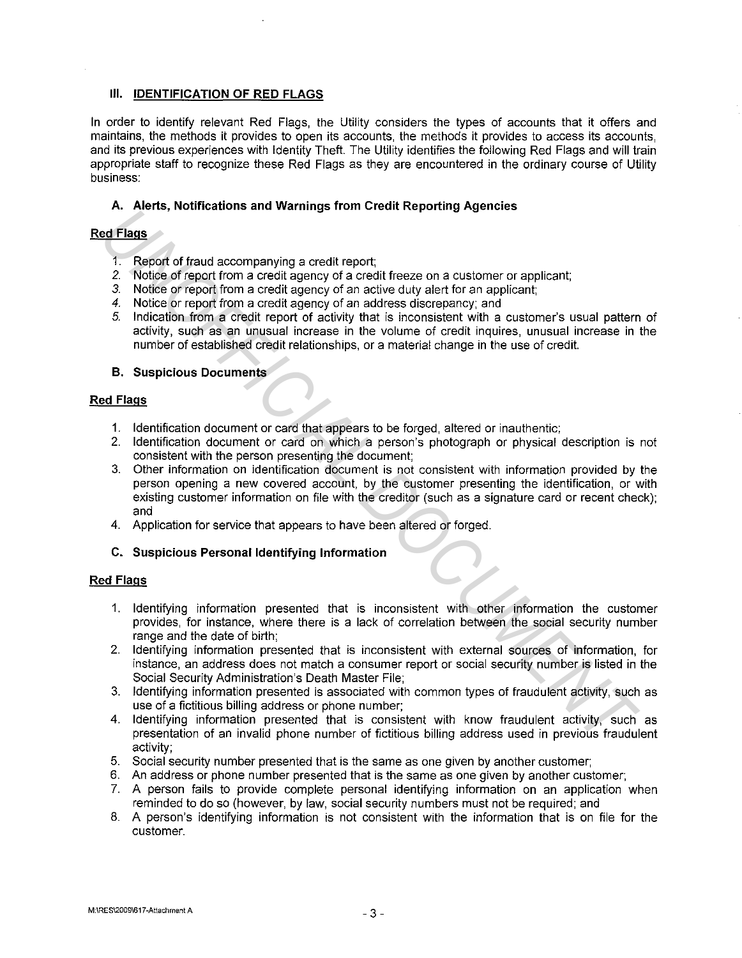### **Ill. IDENTIFICATION OF RED FLAGS**

**In** order to identify relevant Red Flags, the Utility considers the types of accounts that it offers and maintains, the methods it provides to open its accounts, the methods it provides to access its accounts, and its previous experiences with Identity Theft. The Utility identifies the following Red Flags and will train appropriate staff to recognize these Red Flags as they are encountered in the ordinary course of Utility business:

### **A. Alerts, Notifications and Warnings from Credit Reporting Agencies**

### **Red Flags**

- 1. Report of fraud accompanying a credit report;
- *2.* Notice of report from a credit agency of a credit freeze on a customer or applicant;
- *3.* Notice or report from a credit agency of an active duty alert for an applicant;
- *4.* Notice or report from a credit agency of an address discrepancy; and
- 5. Indication from a credit report of activity that is inconsistent with a customer's usual pattern of activity, such as an unusual increase in the volume of credit inquires, unusual increase **in** the number of established credit relationships, or a material change **in** the use of credit.

### **B. Suspicious Documents**

### **Red Flags**

- **1.** Identification document or card that appears to be forged, altered or inauthentic;
- 2. Identification document or card on which a person's photograph or physical description is not consistent with the person presenting the document;
- 3. Other information on identification document is not consistent with information provided by the person opening a new covered account, by the customer presenting the identification, or with existing customer information on file with the creditor (such as a signature card or recent check); and **Example the comparison of the state of the state of the state of the state of the state of the state of the state of the state of the state of the state of the state of the state of the state of the state of the state of** 
	- 4. Application for service that appears to have been altered or forged.
	- **C. Suspicious Personal Identifying Information**

### **Red Flags**

- 1. Identifying information presented that is inconsistent with other information the customer provides, for instance, where there is a lack of correlation between the social security number range and the date of birth;
- 2. Identifying information presented that is inconsistent with external sources of information, for instance, an address does not match a consumer report or social security number is listed in the Social Security Administration's Death Master File;
- 3. Identifying information presented is associated with common types of fraudulent activity, such as use of a fictitious billing address or phone number;
- 4. Identifying information presented that is consistent with know fraudulent activity, such as presentation of an invalid phone number of fictitious billing address used in previous fraudulent activity;
- 5. Social security number presented that is the same as one given by another customer;
- 6. An address or phone number presented that is the same as one given by another customer;
- 7. A person fails to provide complete personal identifying information on an application when reminded to do so (however, by law, social security numbers must not be required; and
- 8. A person's identifying information is not consistent with the information that is on file for the customer.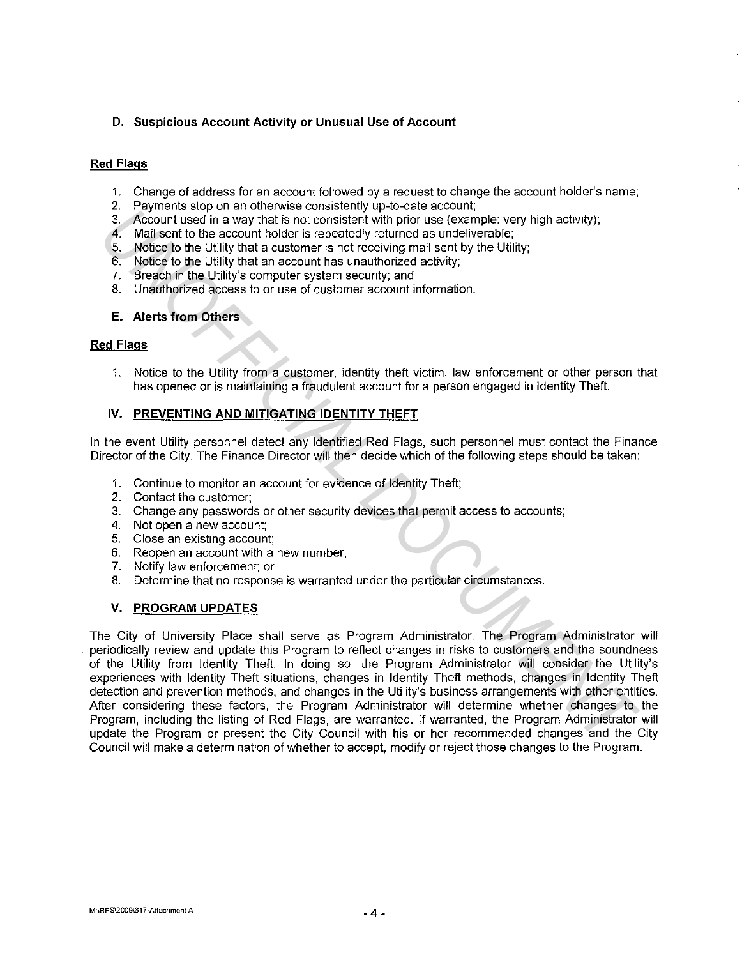### **D. Suspicious Account Activity or Unusual Use of Account**

### **Red Flags**

- 1. Change of address for an account followed by a request to change the account holder's name;
- 2. Payments stop on an otherwise consistently up-to-date account;
- 3. Account used in a way that is not consistent with prior use (example: very high activity);
- 4. Mail sent to the account holder is repeatedly returned as undeliverable;
- 5. Notice to the Utility that a customer is not receiving mail sent by the Utility;
- 6. Notice to the Utility that an account has unauthorized activity;
- 7. Breach in the Utility's computer system security; and
- 8. Unauthorized access to or use of customer account information.

### **E. Alerts from Others**

### **Red Flags**

1. Notice to the Utility from a customer, identity theft victim, law enforcement or other person that has opened or is maintaining a fraudulent account for a person engaged in Identity Theft.

### **IV. PREVENTING AND MITIGATING IDENTITY THEFT**

In the event Utility personnel detect any identified Red Flags, such personnel must contact the Finance Director of the City. The Finance Director will then decide which of the following steps should be taken:

- 1. Continue to monitor an account for evidence of Identity Theft;
- 2. Contact the customer;
- 3. Change any passwords or other security devices that permit access to accounts;
- 4. Not open a new account;
- 5. Close an existing account;
- 6. Reopen an account with a new number;
- 7. Notify law enforcement; or
- 8. Determine that no response is warranted under the particular circumstances.

### **V. PROGRAM UPDATES**

The City of University Place shall serve as Program Administrator. The Program Administrator will periodically review and update this Program to reflect changes in risks to customers and the soundness of the Utility from Identity Theft. In doing so, the Program Administrator will consider the Utility's experiences with Identity Theft situations, changes in Identity Theft methods, changes in Identity Theft detection and prevention methods, and changes in the Utility's business arrangements with other entities. After considering these factors, the Program Administrator will determine whether changes to the Program, including the listing of Red Flags, are warranted. If warranted, the Program Administrator will update the Program or present the City Council with his or her recommended changes and the City Council will make a determination of whether to accept, modify or reject those changes to the Program. 2. *Account used in a way that is not consistent with prior use (example, very high activity);*<br>
4. *Nationent text* in a way that is not consistent with prior use (example, very high activity);<br>
4. Malleettric the second